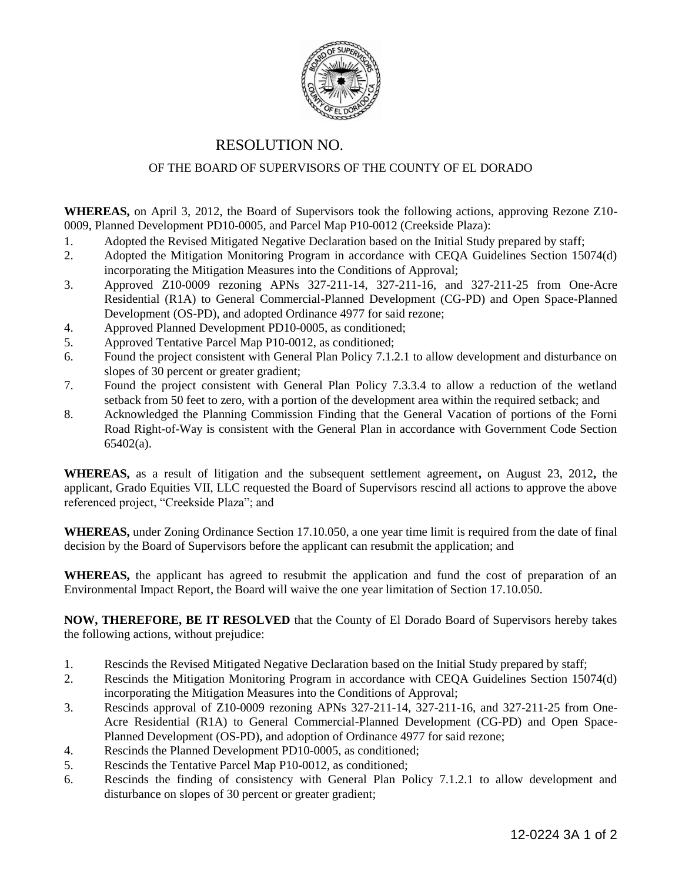

## RESOLUTION NO.

## OF THE BOARD OF SUPERVISORS OF THE COUNTY OF EL DORADO

**WHEREAS,** on April 3, 2012, the Board of Supervisors took the following actions, approving Rezone Z10- 0009, Planned Development PD10-0005, and Parcel Map P10-0012 (Creekside Plaza):

- 1. Adopted the Revised Mitigated Negative Declaration based on the Initial Study prepared by staff;
- 2. Adopted the Mitigation Monitoring Program in accordance with CEQA Guidelines Section 15074(d) incorporating the Mitigation Measures into the Conditions of Approval;
- 3. Approved Z10-0009 rezoning APNs 327-211-14, 327-211-16, and 327-211-25 from One-Acre Residential (R1A) to General Commercial-Planned Development (CG-PD) and Open Space-Planned Development (OS-PD), and adopted Ordinance 4977 for said rezone;
- 4. Approved Planned Development PD10-0005, as conditioned;
- 5. Approved Tentative Parcel Map P10-0012, as conditioned;
- 6. Found the project consistent with General Plan Policy 7.1.2.1 to allow development and disturbance on slopes of 30 percent or greater gradient;
- 7. Found the project consistent with General Plan Policy 7.3.3.4 to allow a reduction of the wetland setback from 50 feet to zero, with a portion of the development area within the required setback; and
- 8. Acknowledged the Planning Commission Finding that the General Vacation of portions of the Forni Road Right-of-Way is consistent with the General Plan in accordance with Government Code Section 65402(a).

**WHEREAS,** as a result of litigation and the subsequent settlement agreement**,** on August 23, 2012**,** the applicant, Grado Equities VII, LLC requested the Board of Supervisors rescind all actions to approve the above referenced project, "Creekside Plaza"; and

**WHEREAS,** under Zoning Ordinance Section 17.10.050, a one year time limit is required from the date of final decision by the Board of Supervisors before the applicant can resubmit the application; and

**WHEREAS,** the applicant has agreed to resubmit the application and fund the cost of preparation of an Environmental Impact Report, the Board will waive the one year limitation of Section 17.10.050.

**NOW, THEREFORE, BE IT RESOLVED** that the County of El Dorado Board of Supervisors hereby takes the following actions, without prejudice:

- 1. Rescinds the Revised Mitigated Negative Declaration based on the Initial Study prepared by staff;
- 2. Rescinds the Mitigation Monitoring Program in accordance with CEQA Guidelines Section 15074(d) incorporating the Mitigation Measures into the Conditions of Approval;
- 3. Rescinds approval of Z10-0009 rezoning APNs 327-211-14, 327-211-16, and 327-211-25 from One-Acre Residential (R1A) to General Commercial-Planned Development (CG-PD) and Open Space-Planned Development (OS-PD), and adoption of Ordinance 4977 for said rezone;
- 4. Rescinds the Planned Development PD10-0005, as conditioned;
- 5. Rescinds the Tentative Parcel Map P10-0012, as conditioned;
- 6. Rescinds the finding of consistency with General Plan Policy 7.1.2.1 to allow development and disturbance on slopes of 30 percent or greater gradient;